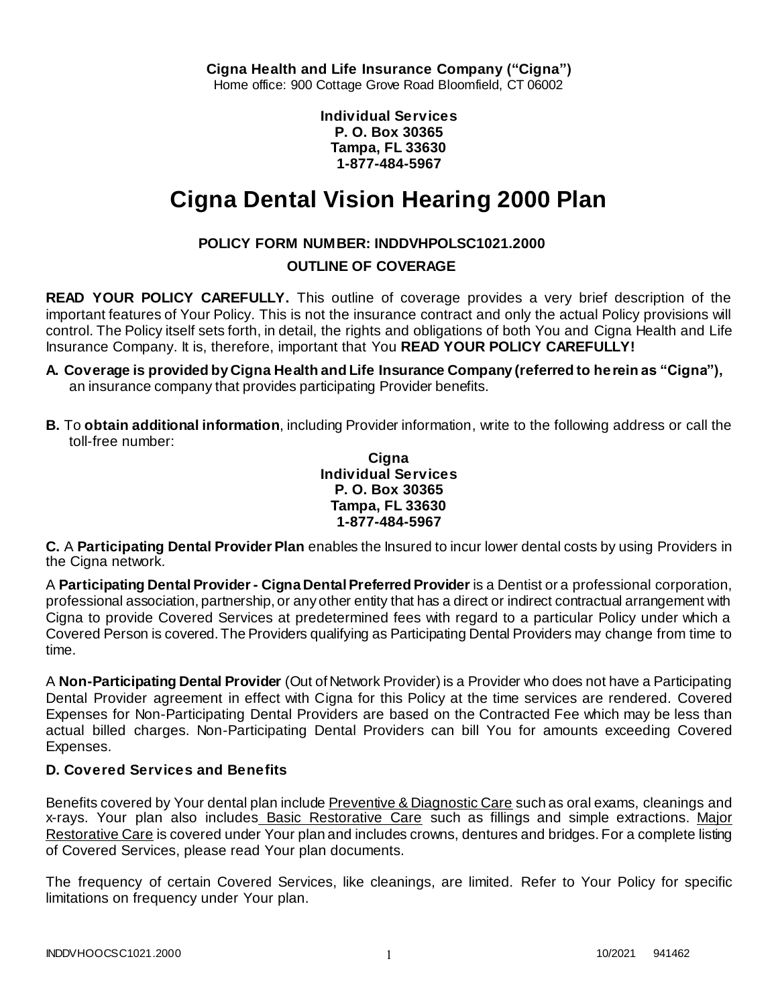**Individual Services P. O. Box 30365 Tampa, FL 33630 1-877-484-5967**

# **Cigna Dental Vision Hearing 2000 Plan**

# **POLICY FORM NUMBER: INDDVHPOLSC1021.2000**

# **OUTLINE OF COVERAGE**

**READ YOUR POLICY CAREFULLY.** This outline of coverage provides a very brief description of the important features of Your Policy. This is not the insurance contract and only the actual Policy provisions will control. The Policy itself sets forth, in detail, the rights and obligations of both You and Cigna Health and Life Insurance Company. It is, therefore, important that You **READ YOUR POLICY CAREFULLY!** 

- **A. Coverage is provided by Cigna Health and Life Insurance Company (referred to herein as "Cigna"),**  an insurance company that provides participating Provider benefits.
- **B.** To **obtain additional information**, including Provider information, write to the following address or call the toll-free number:

**Cigna Individual Services P. O. Box 30365 Tampa, FL 33630 1-877-484-5967**

**C.** A **Participating Dental Provider Plan** enables the Insured to incur lower dental costs by using Providers in the Cigna network.

A **Participating Dental Provider - Cigna Dental Preferred Provider** is a Dentist or a professional corporation, professional association, partnership, or any other entity that has a direct or indirect contractual arrangement with Cigna to provide Covered Services at predetermined fees with regard to a particular Policy under which a Covered Person is covered. The Providers qualifying as Participating Dental Providers may change from time to time.

A **Non-Participating Dental Provider** (Out of Network Provider) is a Provider who does not have a Participating Dental Provider agreement in effect with Cigna for this Policy at the time services are rendered. Covered Expenses for Non-Participating Dental Providers are based on the Contracted Fee which may be less than actual billed charges. Non-Participating Dental Providers can bill You for amounts exceeding Covered Expenses.

# **D. Covered Services and Benefits**

Benefits covered by Your dental plan include Preventive & Diagnostic Care such as oral exams, cleanings and x-rays. Your plan also includes Basic Restorative Care such as fillings and simple extractions. Major Restorative Care is covered under Your plan and includes crowns, dentures and bridges. For a complete listing of Covered Services, please read Your plan documents.

The frequency of certain Covered Services, like cleanings, are limited. Refer to Your Policy for specific limitations on frequency under Your plan.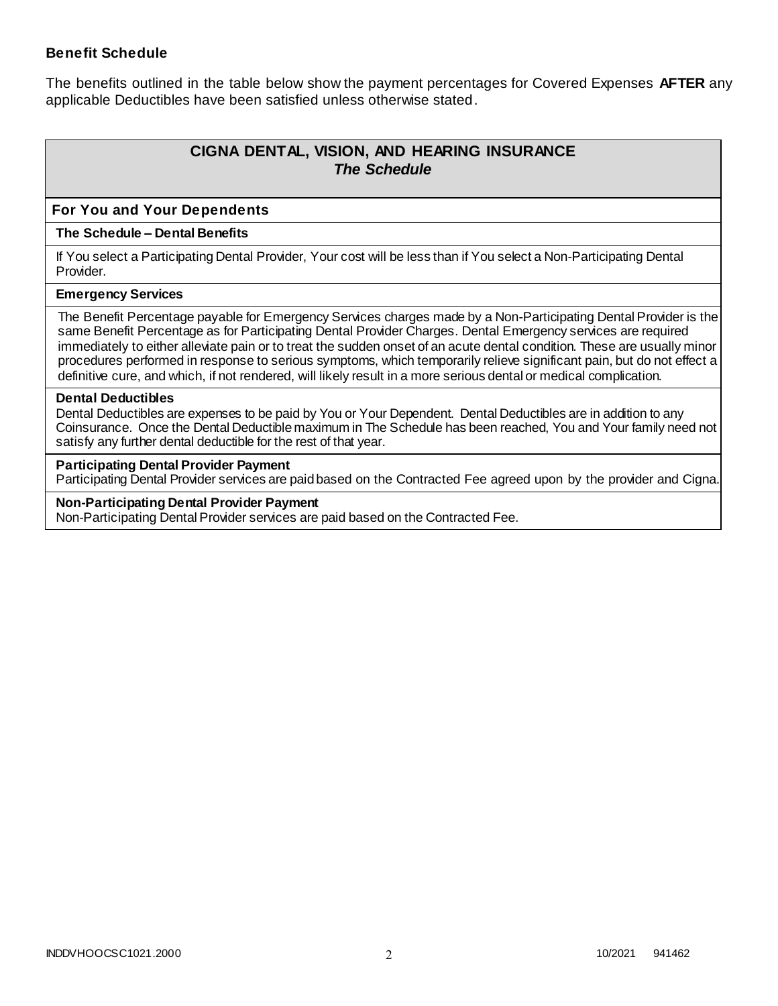### **Benefit Schedule**

The benefits outlined in the table below show the payment percentages for Covered Expenses **AFTER** any applicable Deductibles have been satisfied unless otherwise stated.

# **CIGNA DENTAL, VISION, AND HEARING INSURANCE** *The Schedule*

### **For You and Your Dependents**

#### **The Schedule – Dental Benefits**

If You select a Participating Dental Provider, Your cost will be less than if You select a Non-Participating Dental Provider.

#### **Emergency Services**

The Benefit Percentage payable for Emergency Services charges made by a Non-Participating Dental Provider is the same Benefit Percentage as for Participating Dental Provider Charges. Dental Emergency services are required immediately to either alleviate pain or to treat the sudden onset of an acute dental condition. These are usually minor procedures performed in response to serious symptoms, which temporarily relieve significant pain, but do not effect a definitive cure, and which, if not rendered, will likely result in a more serious dental or medical complication.

#### **Dental Deductibles**

Dental Deductibles are expenses to be paid by You or Your Dependent. Dental Deductibles are in addition to any Coinsurance. Once the Dental Deductible maximum in The Schedule has been reached, You and Your family need not satisfy any further dental deductible for the rest of that year.

#### **Participating Dental Provider Payment**

Participating Dental Provider services are paid based on the Contracted Fee agreed upon by the provider and Cigna.

**Non-Participating Dental Provider Payment** Non-Participating Dental Provider services are paid based on the Contracted Fee.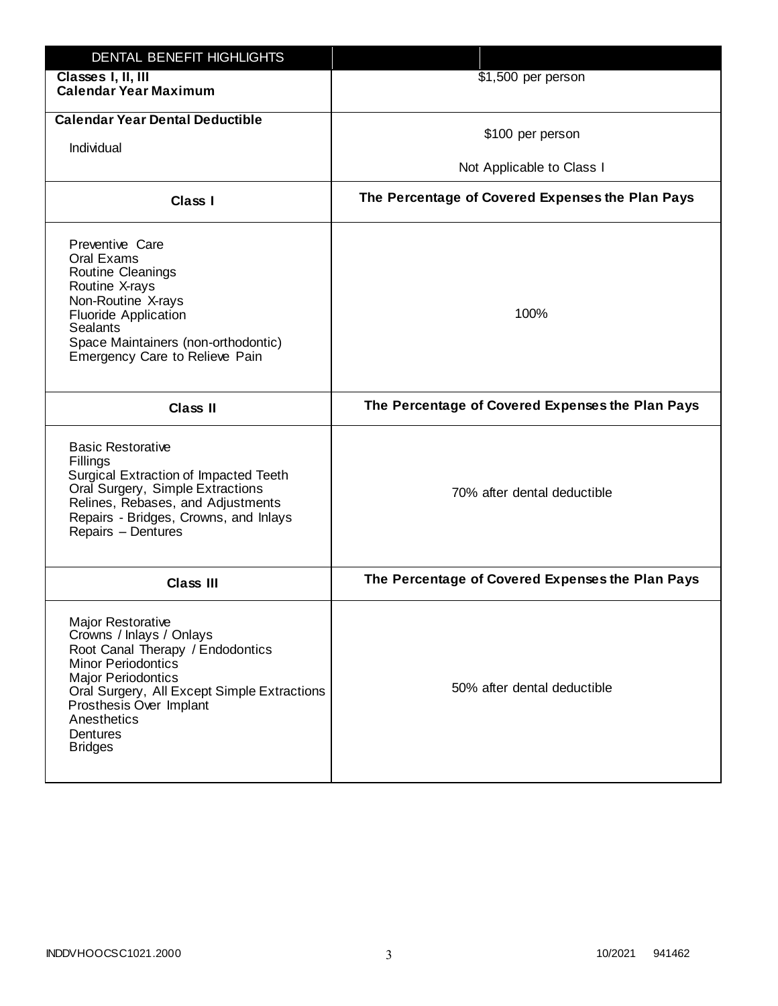| DENTAL BENEFIT HIGHLIGHTS                                                                                                                                                                                                                                                 |                                                  |
|---------------------------------------------------------------------------------------------------------------------------------------------------------------------------------------------------------------------------------------------------------------------------|--------------------------------------------------|
| Classes I, II, III<br><b>Calendar Year Maximum</b>                                                                                                                                                                                                                        | \$1,500 per person                               |
| <b>Calendar Year Dental Deductible</b><br>Individual                                                                                                                                                                                                                      | \$100 per person                                 |
|                                                                                                                                                                                                                                                                           | Not Applicable to Class I                        |
| Class I                                                                                                                                                                                                                                                                   | The Percentage of Covered Expenses the Plan Pays |
| Preventive Care<br>Oral Exams<br>Routine Cleanings<br>Routine X-rays<br>Non-Routine X-rays<br><b>Fluoride Application</b><br><b>Sealants</b><br>Space Maintainers (non-orthodontic)<br>Emergency Care to Relieve Pain                                                     | 100%                                             |
| <b>Class II</b>                                                                                                                                                                                                                                                           | The Percentage of Covered Expenses the Plan Pays |
| <b>Basic Restorative</b><br>Fillings<br>Surgical Extraction of Impacted Teeth<br>Oral Surgery, Simple Extractions<br>Relines, Rebases, and Adjustments<br>Repairs - Bridges, Crowns, and Inlays<br>Repairs - Dentures                                                     | 70% after dental deductible                      |
| <b>Class III</b>                                                                                                                                                                                                                                                          | The Percentage of Covered Expenses the Plan Pays |
| <b>Major Restorative</b><br>Crowns / Inlays / Onlays<br>Root Canal Therapy / Endodontics<br><b>Minor Periodontics</b><br><b>Major Periodontics</b><br>Oral Surgery, All Except Simple Extractions<br>Prosthesis Over Implant<br>Anesthetics<br>Dentures<br><b>Bridges</b> | 50% after dental deductible                      |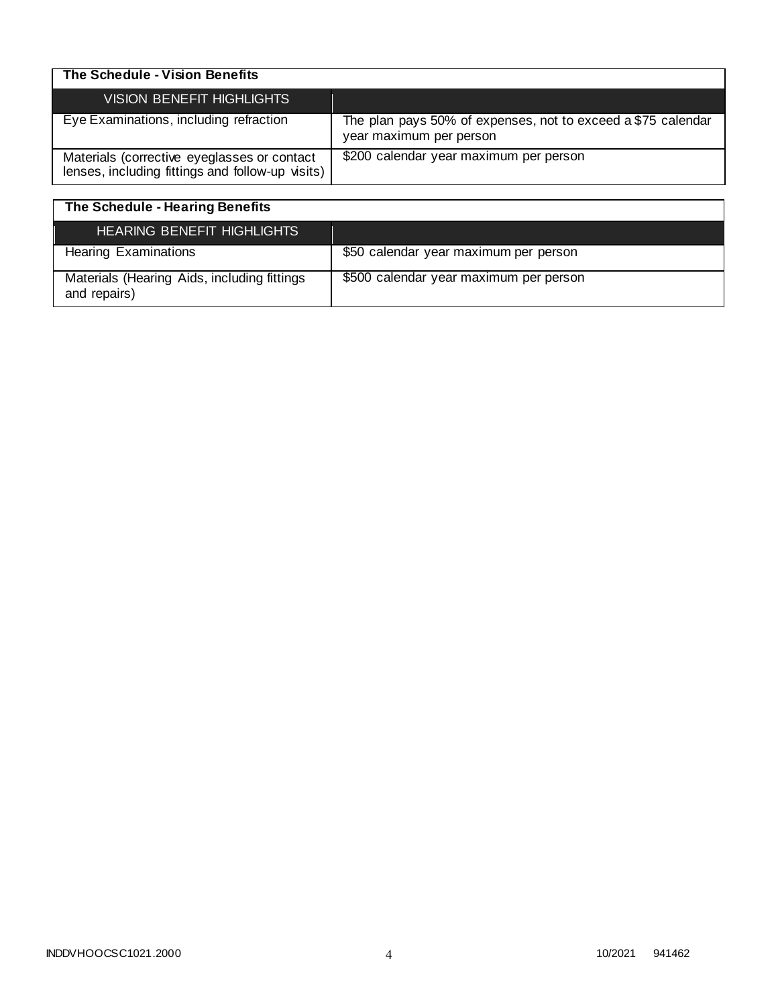| The Schedule - Vision Benefits                                                                  |                                                                                         |
|-------------------------------------------------------------------------------------------------|-----------------------------------------------------------------------------------------|
| VISION BENEFIT HIGHLIGHTS                                                                       |                                                                                         |
| Eye Examinations, including refraction                                                          | The plan pays 50% of expenses, not to exceed a \$75 calendar<br>year maximum per person |
| Materials (corrective eyeglasses or contact<br>lenses, including fittings and follow-up visits) | \$200 calendar year maximum per person                                                  |

| The Schedule - Hearing Benefits                             |                                        |
|-------------------------------------------------------------|----------------------------------------|
| <b>HEARING BENEFIT HIGHLIGHTS</b>                           |                                        |
| <b>Hearing Examinations</b>                                 | \$50 calendar year maximum per person  |
| Materials (Hearing Aids, including fittings<br>and repairs) | \$500 calendar year maximum per person |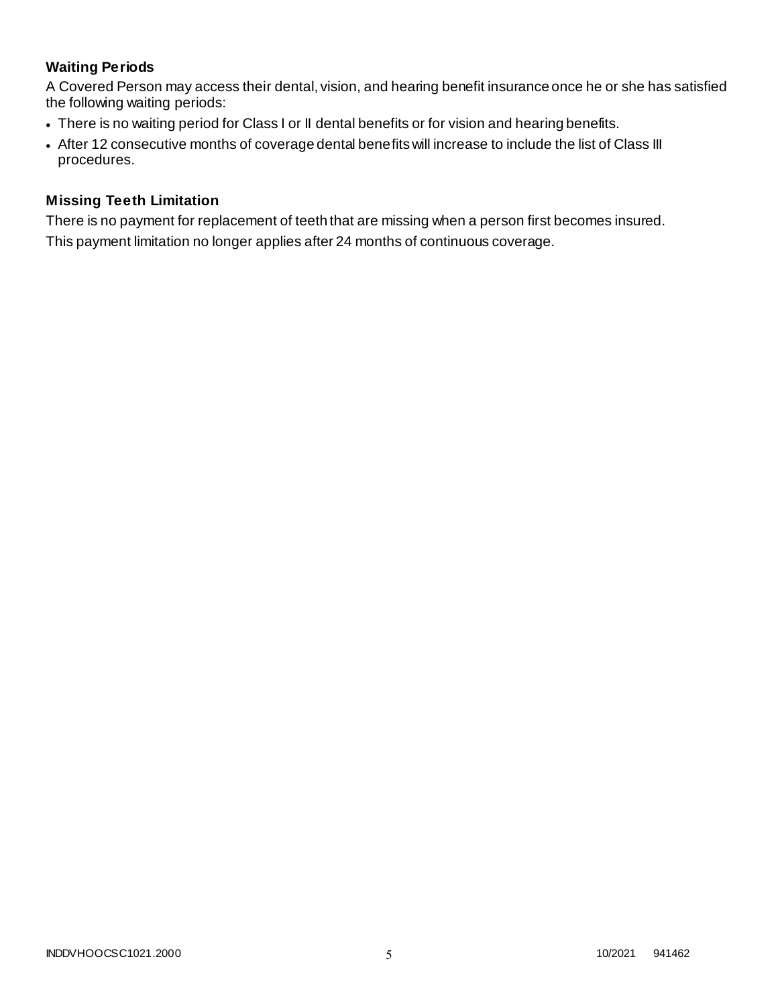# **Waiting Periods**

A Covered Person may access their dental, vision, and hearing benefit insurance once he or she has satisfied the following waiting periods:

- There is no waiting period for Class I or II dental benefits or for vision and hearing benefits.
- After 12 consecutive months of coverage dental benefits will increase to include the list of Class III procedures.

## **Missing Teeth Limitation**

There is no payment for replacement of teeth that are missing when a person first becomes insured. This payment limitation no longer applies after 24 months of continuous coverage.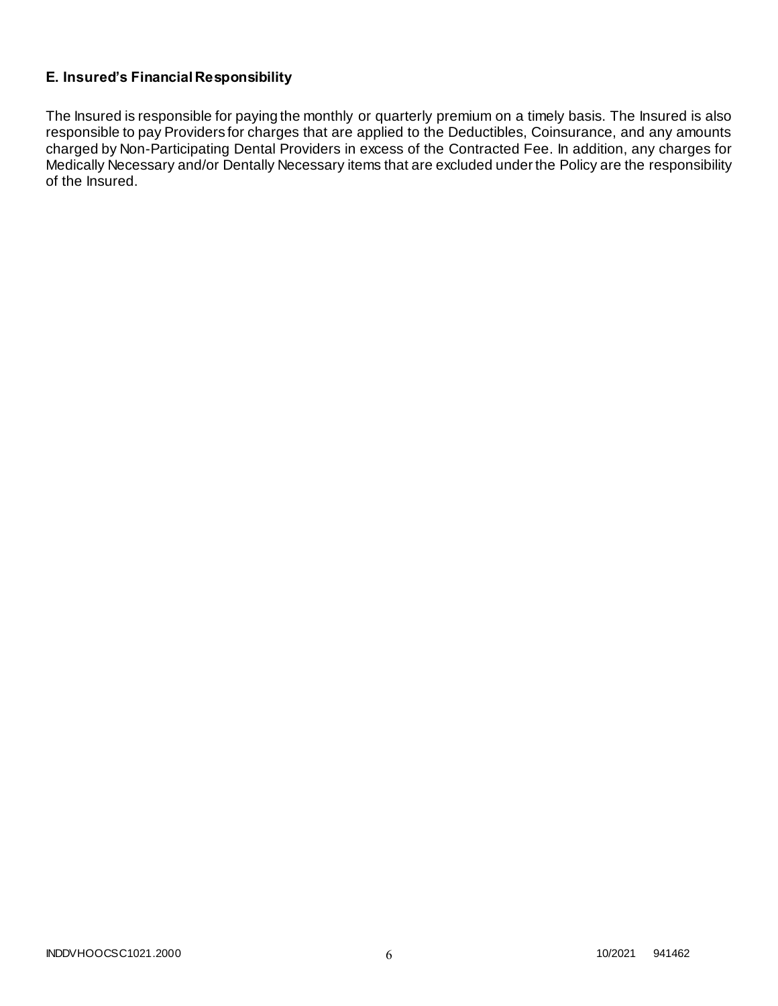# **E. Insured's Financial Responsibility**

The Insured is responsible for paying the monthly or quarterly premium on a timely basis. The Insured is also responsible to pay Providers for charges that are applied to the Deductibles, Coinsurance, and any amounts charged by Non-Participating Dental Providers in excess of the Contracted Fee. In addition, any charges for Medically Necessary and/or Dentally Necessary items that are excluded under the Policy are the responsibility of the Insured.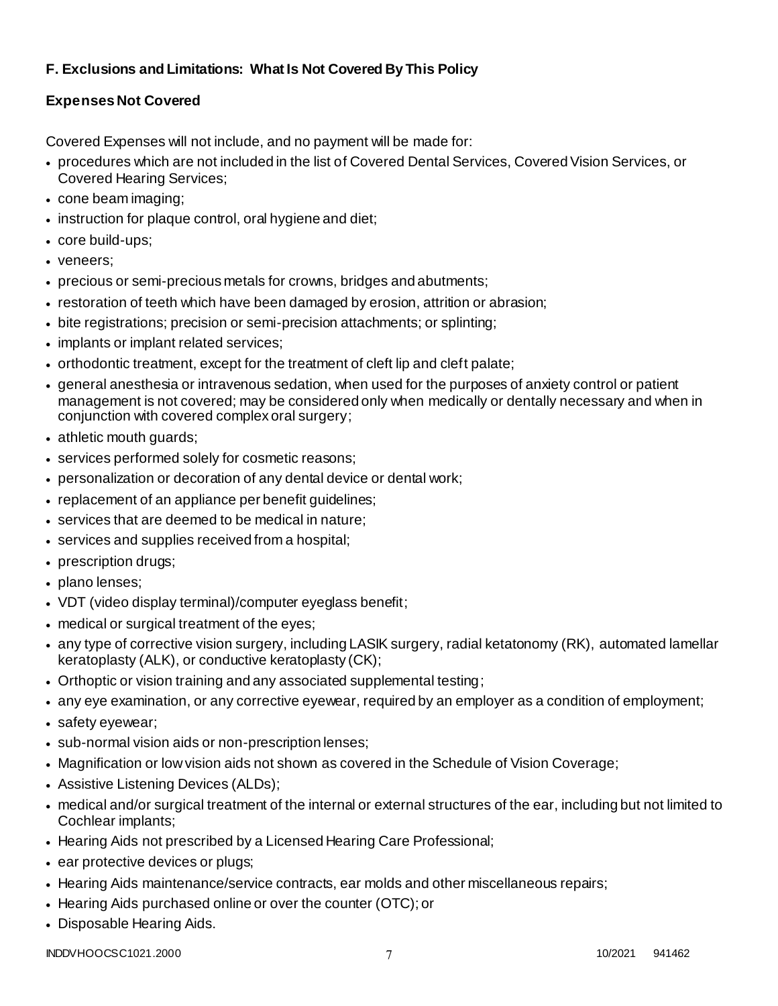# **F. Exclusions and Limitations: What Is Not Covered By This Policy**

# **Expenses Not Covered**

Covered Expenses will not include, and no payment will be made for:

- procedures which are not included in the list of Covered Dental Services, Covered Vision Services, or Covered Hearing Services;
- cone beam imaging;
- instruction for plaque control, oral hygiene and diet;
- core build-ups;
- veneers;
- precious or semi-precious metals for crowns, bridges and abutments;
- restoration of teeth which have been damaged by erosion, attrition or abrasion;
- bite registrations; precision or semi-precision attachments; or splinting;
- implants or implant related services;
- orthodontic treatment, except for the treatment of cleft lip and cleft palate;
- general anesthesia or intravenous sedation, when used for the purposes of anxiety control or patient management is not covered; may be considered only when medically or dentally necessary and when in conjunction with covered complex oral surgery;
- athletic mouth guards;
- services performed solely for cosmetic reasons;
- personalization or decoration of any dental device or dental work;
- replacement of an appliance per benefit guidelines;
- services that are deemed to be medical in nature;
- services and supplies received from a hospital;
- prescription drugs;
- plano lenses:
- VDT (video display terminal)/computer eyeglass benefit;
- medical or surgical treatment of the eyes;
- any type of corrective vision surgery, including LASIK surgery, radial ketatonomy (RK), automated lamellar keratoplasty (ALK), or conductive keratoplasty (CK);
- Orthoptic or vision training and any associated supplemental testing;
- any eye examination, or any corrective eyewear, required by an employer as a condition of employment;
- safety eyewear;
- sub-normal vision aids or non-prescription lenses;
- Magnification or low vision aids not shown as covered in the Schedule of Vision Coverage;
- Assistive Listening Devices (ALDs);
- medical and/or surgical treatment of the internal or external structures of the ear, including but not limited to Cochlear implants;
- Hearing Aids not prescribed by a Licensed Hearing Care Professional;
- ear protective devices or plugs;
- Hearing Aids maintenance/service contracts, ear molds and other miscellaneous repairs;
- Hearing Aids purchased online or over the counter (OTC); or
- Disposable Hearing Aids.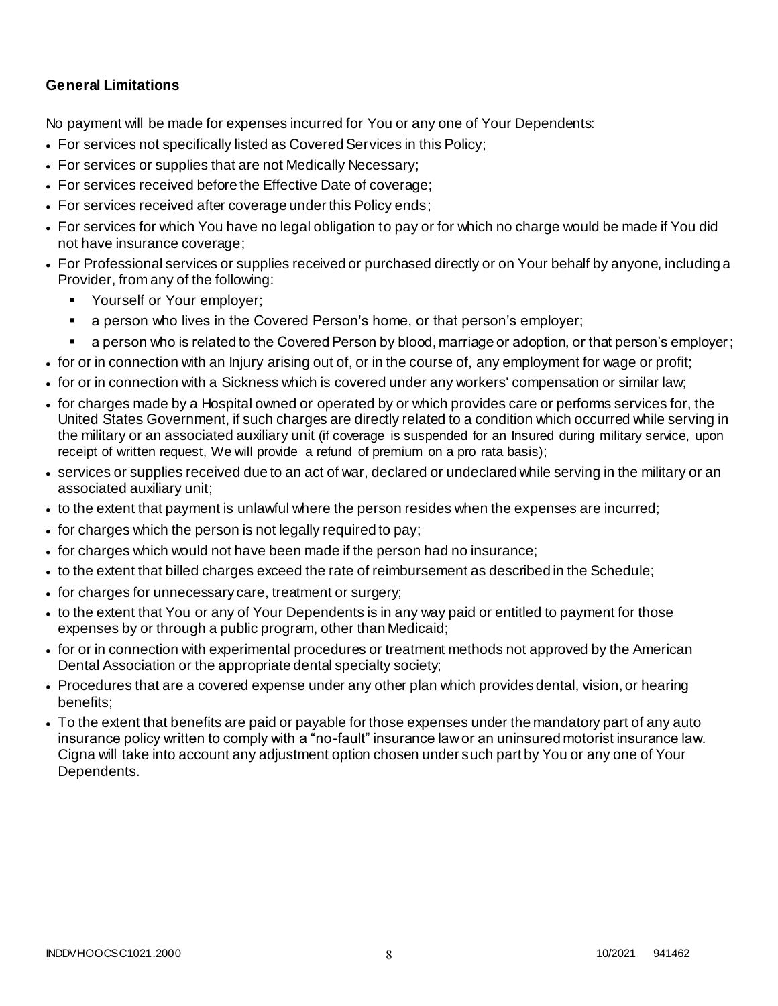# **General Limitations**

No payment will be made for expenses incurred for You or any one of Your Dependents:

- For services not specifically listed as Covered Services in this Policy;
- For services or supplies that are not Medically Necessary;
- For services received before the Effective Date of coverage;
- For services received after coverage under this Policy ends;
- For services for which You have no legal obligation to pay or for which no charge would be made if You did not have insurance coverage;
- For Professional services or supplies received or purchased directly or on Your behalf by anyone, including a Provider, from any of the following:
	- **Yourself or Your employer;**
	- a person who lives in the Covered Person's home, or that person's employer;
	- a person who is related to the Covered Person by blood, marriage or adoption, or that person's employer;
- for or in connection with an Injury arising out of, or in the course of, any employment for wage or profit;
- for or in connection with a Sickness which is covered under any workers' compensation or similar law;
- for charges made by a Hospital owned or operated by or which provides care or performs services for, the United States Government, if such charges are directly related to a condition which occurred while serving in the military or an associated auxiliary unit (if coverage is suspended for an Insured during military service, upon receipt of written request, We will provide a refund of premium on a pro rata basis);
- services or supplies received due to an act of war, declared or undeclared while serving in the military or an associated auxiliary unit;
- to the extent that payment is unlawful where the person resides when the expenses are incurred;
- for charges which the person is not legally required to pay;
- for charges which would not have been made if the person had no insurance;
- to the extent that billed charges exceed the rate of reimbursement as described in the Schedule;
- for charges for unnecessary care, treatment or surgery;
- to the extent that You or any of Your Dependents is in any way paid or entitled to payment for those expenses by or through a public program, other than Medicaid;
- for or in connection with experimental procedures or treatment methods not approved by the American Dental Association or the appropriate dental specialty society;
- Procedures that are a covered expense under any other plan which provides dental, vision, or hearing benefits;
- To the extent that benefits are paid or payable for those expenses under the mandatory part of any auto insurance policy written to comply with a "no-fault" insurance law or an uninsured motorist insurance law. Cigna will take into account any adjustment option chosen under such part by You or any one of Your Dependents.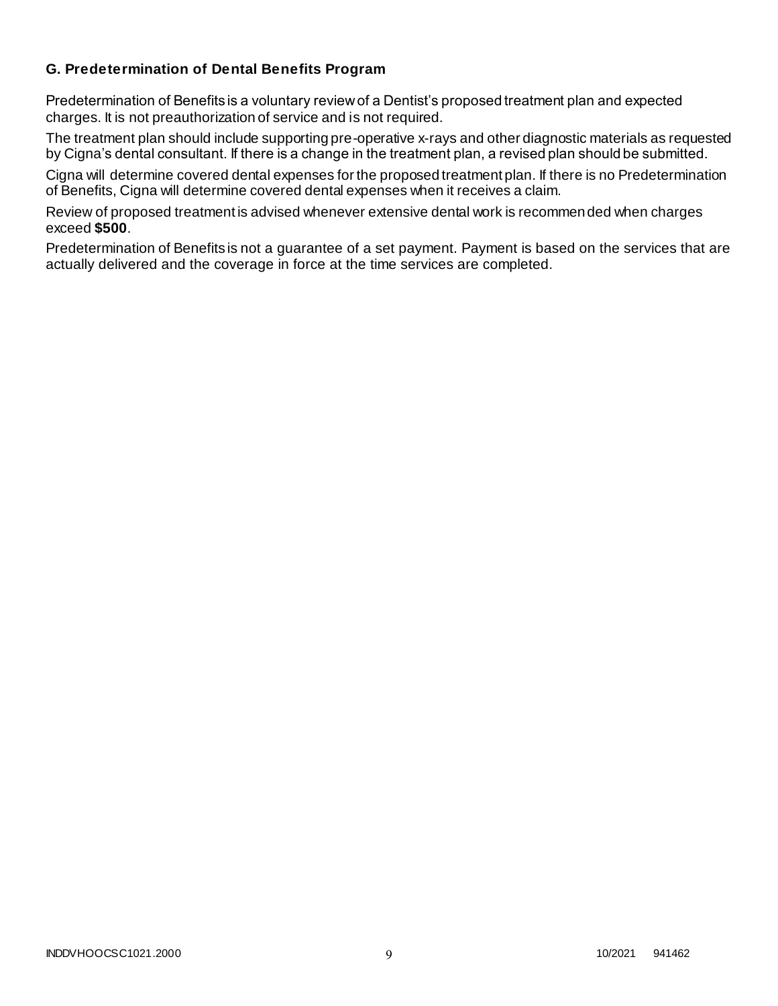# **G. Predetermination of Dental Benefits Program**

Predetermination of Benefits is a voluntary review of a Dentist's proposed treatment plan and expected charges. It is not preauthorization of service and is not required.

The treatment plan should include supporting pre-operative x-rays and other diagnostic materials as requested by Cigna's dental consultant. If there is a change in the treatment plan, a revised plan should be submitted.

Cigna will determine covered dental expenses for the proposed treatment plan. If there is no Predetermination of Benefits, Cigna will determine covered dental expenses when it receives a claim.

Review of proposed treatment is advised whenever extensive dental work is recommended when charges exceed **\$500**.

Predetermination of Benefits is not a guarantee of a set payment. Payment is based on the services that are actually delivered and the coverage in force at the time services are completed.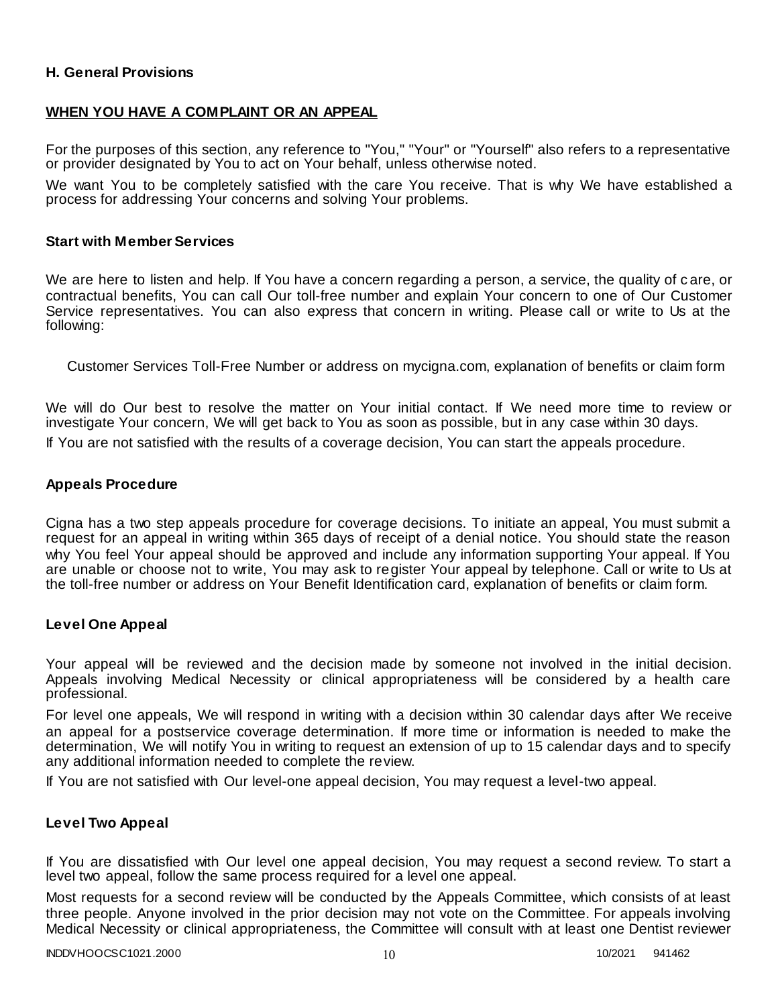### **H. General Provisions**

#### **WHEN YOU HAVE A COMPLAINT OR AN APPEAL**

For the purposes of this section, any reference to "You," "Your" or "Yourself" also refers to a representative or provider designated by You to act on Your behalf, unless otherwise noted.

We want You to be completely satisfied with the care You receive. That is why We have established a process for addressing Your concerns and solving Your problems.

#### **Start with Member Services**

We are here to listen and help. If You have a concern regarding a person, a service, the quality of care, or contractual benefits, You can call Our toll-free number and explain Your concern to one of Our Customer Service representatives. You can also express that concern in writing. Please call or write to Us at the following:

Customer Services Toll-Free Number or address on mycigna.com, explanation of benefits or claim form

We will do Our best to resolve the matter on Your initial contact. If We need more time to review or investigate Your concern, We will get back to You as soon as possible, but in any case within 30 days.

If You are not satisfied with the results of a coverage decision, You can start the appeals procedure.

#### **Appeals Procedure**

Cigna has a two step appeals procedure for coverage decisions. To initiate an appeal, You must submit a request for an appeal in writing within 365 days of receipt of a denial notice. You should state the reason why You feel Your appeal should be approved and include any information supporting Your appeal. If You are unable or choose not to write, You may ask to register Your appeal by telephone. Call or write to Us at the toll-free number or address on Your Benefit Identification card, explanation of benefits or claim form.

#### **Level One Appeal**

Your appeal will be reviewed and the decision made by someone not involved in the initial decision. Appeals involving Medical Necessity or clinical appropriateness will be considered by a health care professional.

For level one appeals, We will respond in writing with a decision within 30 calendar days after We receive an appeal for a postservice coverage determination. If more time or information is needed to make the determination, We will notify You in writing to request an extension of up to 15 calendar days and to specify any additional information needed to complete the review.

If You are not satisfied with Our level-one appeal decision, You may request a level-two appeal.

#### **Level Two Appeal**

If You are dissatisfied with Our level one appeal decision, You may request a second review. To start a level two appeal, follow the same process required for a level one appeal.

Most requests for a second review will be conducted by the Appeals Committee, which consists of at least three people. Anyone involved in the prior decision may not vote on the Committee. For appeals involving Medical Necessity or clinical appropriateness, the Committee will consult with at least one Dentist reviewer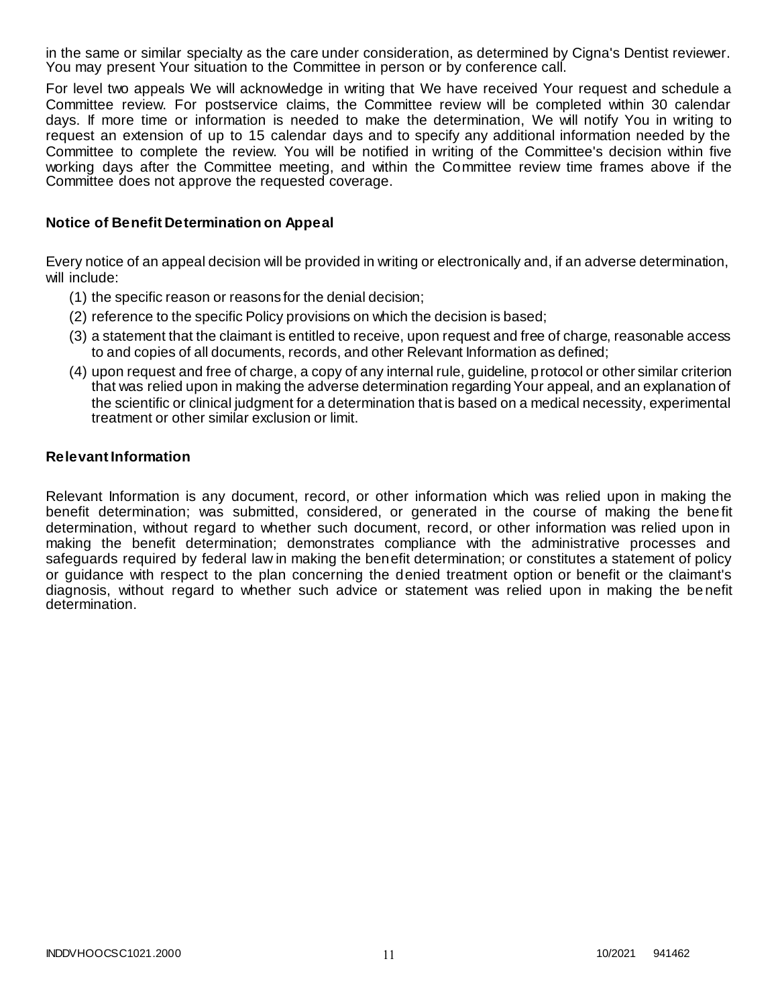in the same or similar specialty as the care under consideration, as determined by Cigna's Dentist reviewer. You may present Your situation to the Committee in person or by conference call.

For level two appeals We will acknowledge in writing that We have received Your request and schedule a Committee review. For postservice claims, the Committee review will be completed within 30 calendar days. If more time or information is needed to make the determination, We will notify You in writing to request an extension of up to 15 calendar days and to specify any additional information needed by the Committee to complete the review. You will be notified in writing of the Committee's decision within five working days after the Committee meeting, and within the Committee review time frames above if the Committee does not approve the requested coverage.

#### **Notice of Benefit Determination on Appeal**

Every notice of an appeal decision will be provided in writing or electronically and, if an adverse determination, will include:

- (1) the specific reason or reasons for the denial decision;
- (2) reference to the specific Policy provisions on which the decision is based;
- (3) a statement that the claimant is entitled to receive, upon request and free of charge, reasonable access to and copies of all documents, records, and other Relevant Information as defined;
- (4) upon request and free of charge, a copy of any internal rule, guideline, protocol or other similar criterion that was relied upon in making the adverse determination regarding Your appeal, and an explanation of the scientific or clinical judgment for a determination that is based on a medical necessity, experimental treatment or other similar exclusion or limit.

#### **Relevant Information**

Relevant Information is any document, record, or other information which was relied upon in making the benefit determination; was submitted, considered, or generated in the course of making the bene fit determination, without regard to whether such document, record, or other information was relied upon in making the benefit determination; demonstrates compliance with the administrative processes and safeguards required by federal law in making the benefit determination; or constitutes a statement of policy or guidance with respect to the plan concerning the denied treatment option or benefit or the claimant's diagnosis, without regard to whether such advice or statement was relied upon in making the be nefit determination.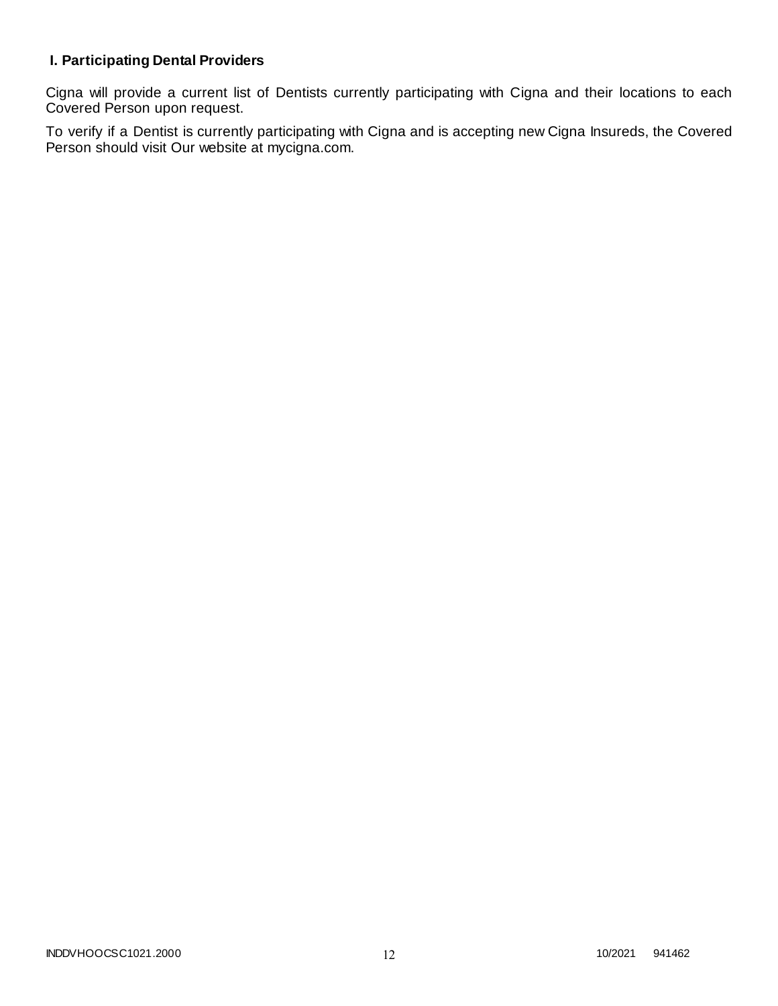# **I. Participating Dental Providers**

Cigna will provide a current list of Dentists currently participating with Cigna and their locations to each Covered Person upon request.

To verify if a Dentist is currently participating with Cigna and is accepting new Cigna Insureds, the Covered Person should visit Our website at mycigna.com.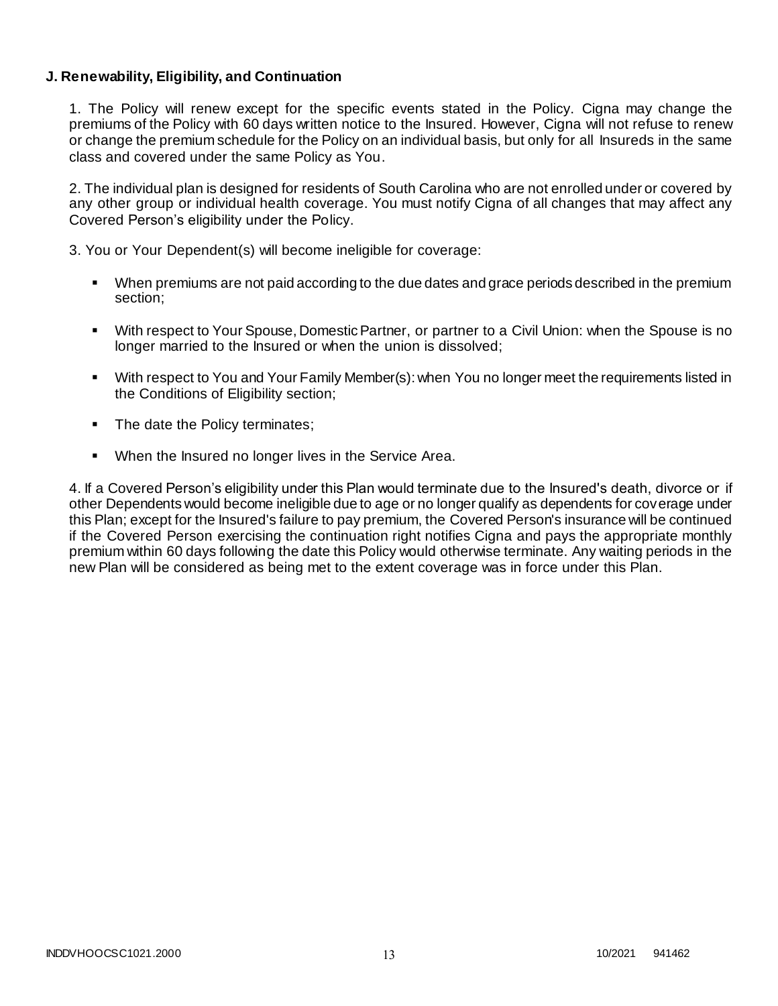### **J. Renewability, Eligibility, and Continuation**

1. The Policy will renew except for the specific events stated in the Policy. Cigna may change the premiums of the Policy with 60 days written notice to the Insured. However, Cigna will not refuse to renew or change the premium schedule for the Policy on an individual basis, but only for all Insureds in the same class and covered under the same Policy as You.

2. The individual plan is designed for residents of South Carolina who are not enrolled under or covered by any other group or individual health coverage. You must notify Cigna of all changes that may affect any Covered Person's eligibility under the Policy.

3. You or Your Dependent(s) will become ineligible for coverage:

- When premiums are not paid according to the due dates and grace periods described in the premium section;
- With respect to Your Spouse, Domestic Partner, or partner to a Civil Union: when the Spouse is no longer married to the Insured or when the union is dissolved;
- With respect to You and Your Family Member(s): when You no longer meet the requirements listed in the Conditions of Eligibility section;
- The date the Policy terminates;
- When the Insured no longer lives in the Service Area.

4. If a Covered Person's eligibility under this Plan would terminate due to the Insured's death, divorce or if other Dependents would become ineligible due to age or no longer qualify as dependents for coverage under this Plan; except for the Insured's failure to pay premium, the Covered Person's insurance will be continued if the Covered Person exercising the continuation right notifies Cigna and pays the appropriate monthly premium within 60 days following the date this Policy would otherwise terminate. Any waiting periods in the new Plan will be considered as being met to the extent coverage was in force under this Plan.